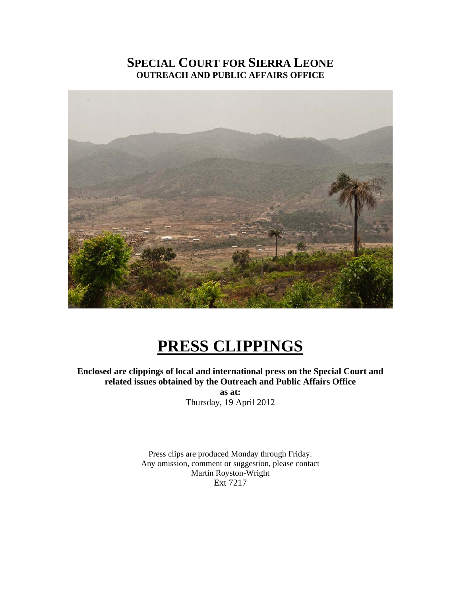### **SPECIAL COURT FOR SIERRA LEONE OUTREACH AND PUBLIC AFFAIRS OFFICE**



## **PRESS CLIPPINGS**

**Enclosed are clippings of local and international press on the Special Court and related issues obtained by the Outreach and Public Affairs Office** 

> **as at:**  Thursday, 19 April 2012

Press clips are produced Monday through Friday. Any omission, comment or suggestion, please contact Martin Royston-Wright Ext 7217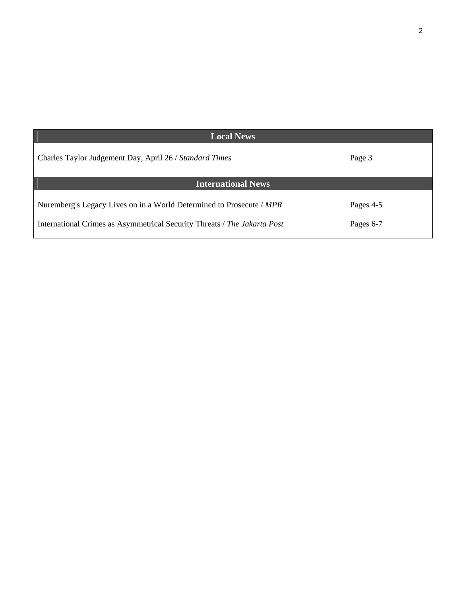| <b>Local News</b>                                                        |           |
|--------------------------------------------------------------------------|-----------|
| Charles Taylor Judgement Day, April 26 / Standard Times                  | Page 3    |
| <b>International News</b>                                                |           |
| Nuremberg's Legacy Lives on in a World Determined to Prosecute / MPR     | Pages 4-5 |
| International Crimes as Asymmetrical Security Threats / The Jakarta Post | Pages 6-7 |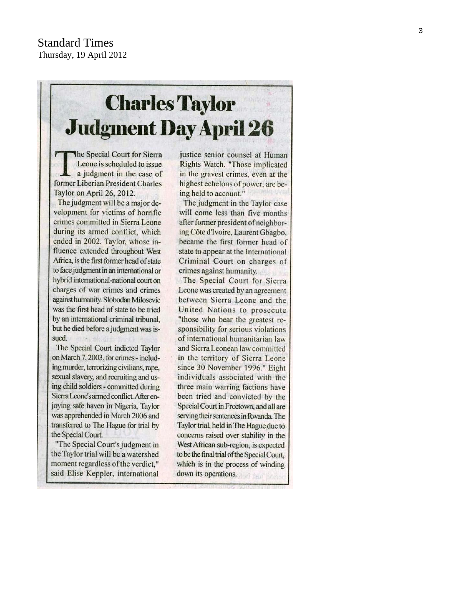# **Charles Taylor Judgment Day April 26**

The Special Court for Sierra Leone is scheduled to issue a judgment in the case of former Liberian President Charles Taylor on April 26, 2012.

The judgment will be a major development for victims of horrific crimes committed in Sierra Leone during its armed conflict, which ended in 2002. Taylor, whose influence extended throughout West Africa, is the first former head of state to face judgment in an international or hybrid international-national court on charges of war crimes and crimes against humanity. Slobodan Milosevic was the first head of state to be tried by an international criminal tribunal, but he died before a judgment was issued.

The Special Court indicted Taylor on March 7, 2003, for crimes - including murder, terrorizing civilians, rape, sexual slavery, and recruiting and using child soldiers - committed during Sierra Leone's armed conflict. After enjoying safe haven in Nigeria, Taylor was apprehended in March 2006 and transferred to The Hague for trial by the Special Court.

"The Special Court's judgment in the Taylor trial will be a watershed moment regardless of the verdict," said Elise Keppler, international justice senior counsel at Human Rights Watch. "Those implicated in the gravest crimes, even at the highest echelons of power, are being held to account."

The judgment in the Taylor case will come less than five months after former president of neighboring Côte d'Ivoire, Laurent Gbagbo, became the first former head of state to appear at the International Criminal Court on charges of crimes against humanity. The Special Court for Sierra Leone was created by an agreement between Sierra Leone and the United Nations to prosecute "those who bear the greatest responsibility for serious violations of international humanitarian law and Sierra Leonean law committed in the territory of Sierra Leone since 30 November 1996." Eight individuals associated with the three main warring factions have been tried and convicted by the Special Court in Freetown, and all are serving their sentences in Rwanda. The Taylor trial, held in The Hague due to concerns raised over stability in the West African sub-region, is expected to be the final trial of the Special Court, which is in the process of winding down its operations.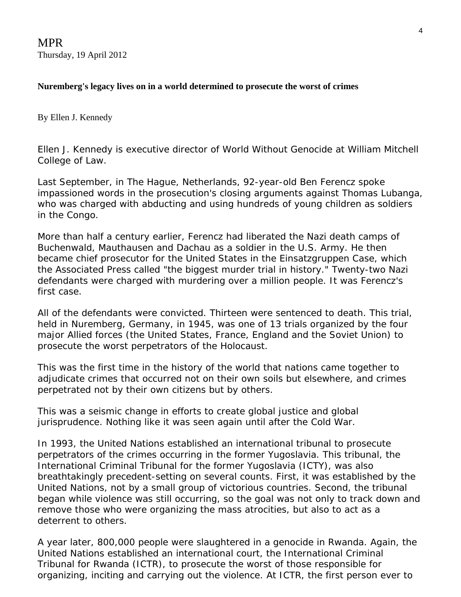MPR Thursday, 19 April 2012

#### **Nuremberg's legacy lives on in a world determined to prosecute the worst of crimes**

By Ellen J. Kennedy

*Ellen J. Kennedy is executive director of World Without Genocide at William Mitchell College of Law.*

Last September, in The Hague, Netherlands, 92-year-old [Ben Ferencz](http://www.benferencz.org/) spoke impassioned words in the prosecution's closing arguments against [Thomas Lubanga](http://www.lubangatrial.org/), who was charged with abducting and using hundreds of young children as soldiers in the Congo.

More than half a century earlier, Ferencz had liberated the Nazi death camps of Buchenwald, Mauthausen and Dachau as a soldier in the U.S. Army. He then became chief prosecutor for the United States in the [Einsatzgruppen Case](http://www.ushmm.org/wlc/en/article.php?ModuleId=10007080), which the Associated Press called "the biggest murder trial in history." Twenty-two Nazi defendants were charged with murdering over a million people. It was Ferencz's first case.

All of the defendants were convicted. Thirteen were sentenced to death. This trial, held in Nuremberg, Germany, in 1945, was one of 13 trials organized by the four major Allied forces (the United States, France, England and the Soviet Union) to prosecute the worst perpetrators of the Holocaust.

This was the first time in the history of the world that nations came together to adjudicate crimes that occurred not on their own soils but elsewhere, and crimes perpetrated not by their own citizens but by others.

This was a seismic change in efforts to create global justice and global jurisprudence. Nothing like it was seen again until after the Cold War.

In 1993, the United Nations established an international tribunal to prosecute perpetrators of the crimes occurring in the former Yugoslavia. This tribunal, the [International Criminal Tribunal for the former Yugoslavia \(ICTY\)](http://ictj.org/our-work/regions-and-countries/former-yugoslavia?gclid=CMLF_72bv68CFYoDQAod1isWzA), was also breathtakingly precedent-setting on several counts. First, it was established by the United Nations, not by a small group of victorious countries. Second, the tribunal began while violence was still occurring, so the goal was not only to track down and remove those who were organizing the mass atrocities, but also to act as a deterrent to others.

A year later, 800,000 people were slaughtered in a genocide in Rwanda. Again, the United Nations established an international court, the [International Criminal](http://www.unictr.org/)  [Tribunal for Rwanda \(ICTR\),](http://www.unictr.org/) to prosecute the worst of those responsible for organizing, inciting and carrying out the violence. At ICTR, the first person ever to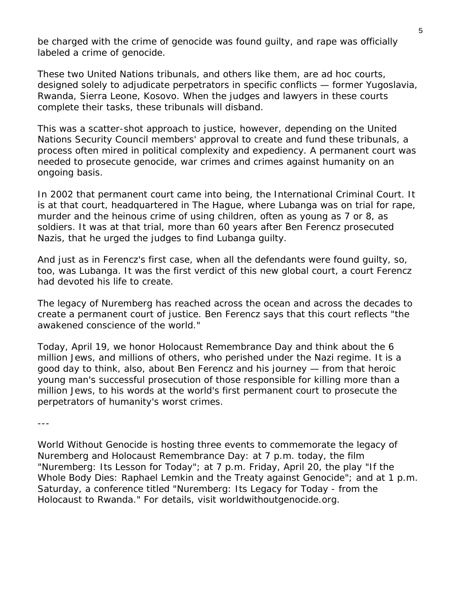be charged with the crime of genocide was found guilty, and rape was officially labeled a crime of genocide.

These two United Nations tribunals, and others like them, are ad hoc courts, designed solely to adjudicate perpetrators in specific conflicts — former Yugoslavia, Rwanda, Sierra Leone, Kosovo. When the judges and lawyers in these courts complete their tasks, these tribunals will disband.

This was a scatter-shot approach to justice, however, depending on the United Nations Security Council members' approval to create and fund these tribunals, a process often mired in political complexity and expediency. A permanent court was needed to prosecute genocide, war crimes and crimes against humanity on an ongoing basis.

In 2002 that permanent court came into being, the International Criminal Court. It is at that court, headquartered in The Hague, where Lubanga was on trial for rape, murder and the heinous crime of using children, often as young as 7 or 8, as soldiers. It was at that trial, more than 60 years after Ben Ferencz prosecuted Nazis, that he urged the judges to find Lubanga guilty.

And just as in Ferencz's first case, when all the defendants were found guilty, so, too, was Lubanga. It was the first verdict of this new global court, a court Ferencz had devoted his life to create.

The legacy of Nuremberg has reached across the ocean and across the decades to create a permanent court of justice. Ben Ferencz says that this court reflects "the awakened conscience of the world."

Today, April 19, we honor Holocaust Remembrance Day and think about the 6 million Jews, and millions of others, who perished under the Nazi regime. It is a good day to think, also, about Ben Ferencz and his journey — from that heroic young man's successful prosecution of those responsible for killing more than a million Jews, to his words at the world's first permanent court to prosecute the perpetrators of humanity's worst crimes.

---

*World Without Genocide is hosting three events to commemorate the legacy of Nuremberg and Holocaust Remembrance Day: at 7 p.m. today, the film "Nuremberg: Its Lesson for Today"; at 7 p.m. Friday, April 20, the play "If the Whole Body Dies: Raphael Lemkin and the Treaty against Genocide"; and at 1 p.m. Saturday, a conference titled "Nuremberg: Its Legacy for Today - from the Holocaust to Rwanda." For details, visit [worldwithoutgenocide.org](http://worldwithoutgenocide.org/).*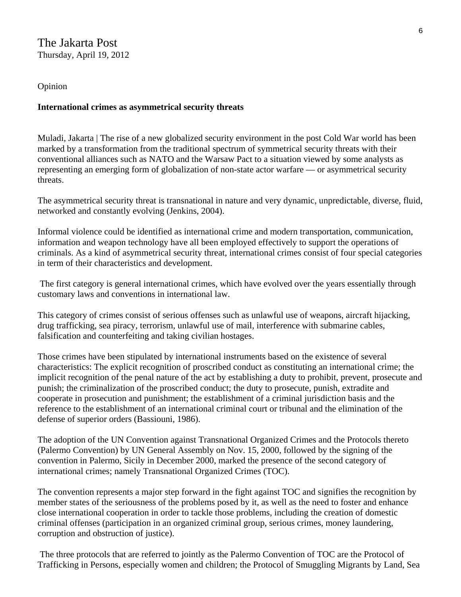#### The Jakarta Post Thursday, April 19, 2012

#### Opinion

#### **International crimes as asymmetrical security threats**

Muladi, Jakarta | The rise of a new globalized security environment in the post Cold War world has been marked by a transformation from the traditional spectrum of symmetrical security threats with their conventional alliances such as NATO and the Warsaw Pact to a situation viewed by some analysts as representing an emerging form of globalization of non-state actor warfare — or asymmetrical security threats.

The asymmetrical security threat is transnational in nature and very dynamic, unpredictable, diverse, fluid, networked and constantly evolving (Jenkins, 2004).

Informal violence could be identified as international crime and modern transportation, communication, information and weapon technology have all been employed effectively to support the operations of criminals. As a kind of asymmetrical security threat, international crimes consist of four special categories in term of their characteristics and development.

 The first category is general international crimes, which have evolved over the years essentially through customary laws and conventions in international law.

This category of crimes consist of serious offenses such as unlawful use of weapons, aircraft hijacking, drug trafficking, sea piracy, terrorism, unlawful use of mail, interference with submarine cables, falsification and counterfeiting and taking civilian hostages.

Those crimes have been stipulated by international instruments based on the existence of several characteristics: The explicit recognition of proscribed conduct as constituting an international crime; the implicit recognition of the penal nature of the act by establishing a duty to prohibit, prevent, prosecute and punish; the criminalization of the proscribed conduct; the duty to prosecute, punish, extradite and cooperate in prosecution and punishment; the establishment of a criminal jurisdiction basis and the reference to the establishment of an international criminal court or tribunal and the elimination of the defense of superior orders (Bassiouni, 1986).

The adoption of the UN Convention against Transnational Organized Crimes and the Protocols thereto (Palermo Convention) by UN General Assembly on Nov. 15, 2000, followed by the signing of the convention in Palermo, Sicily in December 2000, marked the presence of the second category of international crimes; namely Transnational Organized Crimes (TOC).

The convention represents a major step forward in the fight against TOC and signifies the recognition by member states of the seriousness of the problems posed by it, as well as the need to foster and enhance close international cooperation in order to tackle those problems, including the creation of domestic criminal offenses (participation in an organized criminal group, serious crimes, money laundering, corruption and obstruction of justice).

 The three protocols that are referred to jointly as the Palermo Convention of TOC are the Protocol of Trafficking in Persons, especially women and children; the Protocol of Smuggling Migrants by Land, Sea